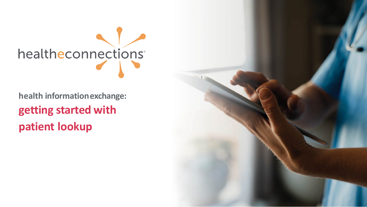

**health informationexchange: getting started with patient lookup**

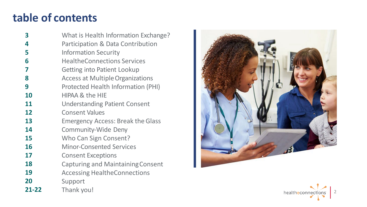# **table of contents**

 $\overline{\mathbf{3}}$ **3456789** What is Health Information Exchange? Participation & Data Contribution 4 5 Information Security 6 HealtheConnections Services 7 Getting into Patient Lookup 8 Access at Multiple Organizations 9 Protected Health Information (PHI) **10** HIPAA & the HIE **11** Understanding Patient Consent Consent Values **12 13** Emergency Access: Break the Glass **14** Community‐Wide Deny **15** Who Can Sign Consent? **16** Minor‐Consented Services **17** Consent Exceptions Capturing and MaintainingConsent **18 19** Accessing HealtheConnections **20** Support **21 -22** Thank you!



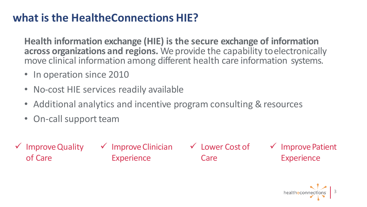# **what is the HealtheConnections HIE?**

**Health information exchange (HIE) is the secure exchange of information across organizations and regions.** We provide the capability toelectronically move clinical information among different health care information systems.

- In operation since 2010
- No-cost HIE services readily available
- Additional analytics and incentive program consulting & resources
- On-call support team
- ImproveQuality of Care

 $\checkmark$  Improve Clinician **Experience** 

Care

 $\checkmark$  Lower Cost of  $\checkmark$  Improve Patient **Experience** 

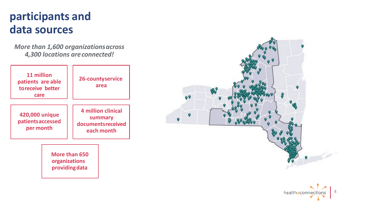# **participants and data sources**

*More than 1,600 organizationsacross 4, 300 locations areconnected!*

| 11 million<br>patients are able<br>toreceive better<br>care | 26-countyservice<br>area                                         |
|-------------------------------------------------------------|------------------------------------------------------------------|
| 420,000 unique<br>patientsaccessed<br>per month             | 4 million clinical<br>summary<br>documentsreceived<br>each month |
| More than 650<br>organizations<br>providing data            |                                                                  |



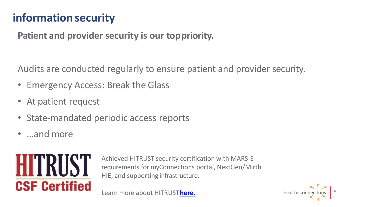# **information security**

## **Patient and provider security is our toppriority.**

Audits are conducted regularly to ensure patient and provider security.

- Emergency Access: Break the Glass
- At patient request
- State-mandated periodic access reports
- …and more



Achieved HITRUST security certification with MARS‐E requirements for myConnections portal, NextGen/Mirth HIE, and supporting infrastructure.

Learn more about HITRUST**[here.](https://hitrustalliance.net/)**

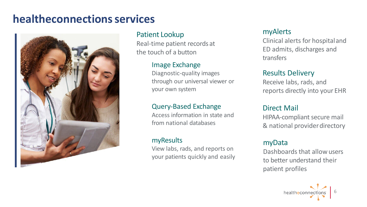# **healtheconnectionsservices**



## Patient Lookup

Real‐time patient records at the touch of a button

#### Image Exchange

Diagnostic‐quality images through our universal viewer or your own system

## Query‐Based Exchange

Access information in state and from national databases

#### myResults

View labs, rads, and reports on your patients quickly and easily

## myAlerts

Clinical alerts for hospitaland ED admits, discharges and transfers

## Results Delivery

Receive labs, rads, and reports directly into your EHR

## Direct Mail

HIPAA‐compliant secure mail & national providerdirectory

## myData

Dashboards that allowusers to better understand their patient profiles

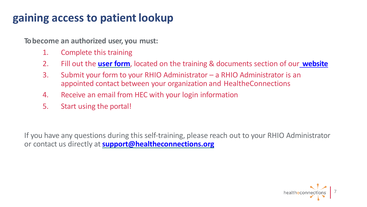# **gaining access to patient lookup**

**To become an authorized user, you must:**

- 1. Complete this training
- 2. Fill out the **[user form](https://hec2021.flywheelsites.com/wp-content/uploads/2021/09/Authorized-User-Certification-and-Application_09_10_2021.pdf)**, located on the training & documents section of our **[website](https://www.healtheconnections.org/)**
- 3. Submit your form to your RHIO Administrator a RHIO Administrator is an appointed contact between your organization and HealtheConnections
- 4. Receive an email from HEC with your login information
- 5. Start using the portal!

If you have any questions during this self‐training, please reach out to your RHIO Administrator or contact us directly at**[support@healtheconnections.org](mailto:support@healtheconnections.org)**

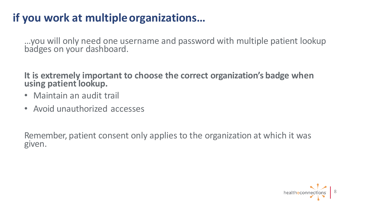# **if you work at multipleorganizations…**

…you will only need one username and password with multiple patient lookup badges on your dashboard.

**It is extremely important to choose the correct organization's badge when using patient lookup.**

- Maintain an audit trail
- Avoid unauthorized accesses

Remember, patient consent only applies to the organization at which it was given.

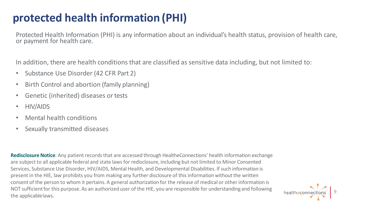# **protected health information (PHI)**

Protected Health Information (PHI) is any information about an individual's health status, provision of health care, or payment for health care.

In addition, there are health conditions that are classified as sensitive data including, but not limited to:

- Substance Use Disorder (42 CFR Part 2)
- Birth Control and abortion (family planning)
- Genetic (inherited) diseases or tests
- HIV/AIDS
- Mental health conditions
- Sexually transmitted diseases

**Redisclosure Notice**: Any patient records that are accessed through HealtheConnections' health information exchange are subject to all applicable federal and state laws for redisclosure, including but not limited to Minor Consented Services, Substance Use Disorder, HIV/AIDS, Mental Health, and Developmental Disabilities. If such information is present in the HIE, law prohibits you from making any further disclosure of this information without the written consent of the person to whom it pertains. A general authorization for the release of medical or other information is NOT sufficient for this purpose. As an authorized user of the HIE, you are responsible for understanding and following the applicablelaws.

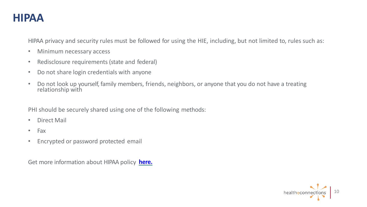## **HIPAA**

HIPAA privacy and security rules must be followed for using the HIE, including, but not limited to, rules such as:

- Minimum necessary access
- Redisclosure requirements (state and federal)
- Do not share login credentials with anyone
- Do not look up yourself, family members, friends, neighbors, or anyone that you do not have a treating relationship with

PHI should be securely shared using one of the following methods:

- Direct Mail
- Fax
- Encrypted or password protected email

Get more information about HIPAA policy **[here.](https://www.hhs.gov/hipaa/for-professionals/privacy/index.html#%3A%7E%3Atext%3DThe%20HIPAA%20Privacy%20Rule%20establishes%2Ccare%20providers%20that%20conduct%20certain)**

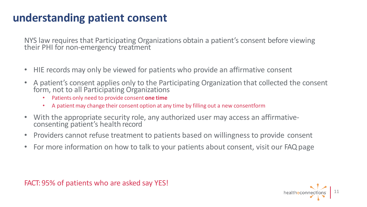# **understanding patient consent**

NYS law requires that Participating Organizations obtain a patient's consent before viewing their PHI for non-emergency treatment

- HIE records may only be viewed for patients who provide an affirmative consent
- A patient's consent applies only to the Participating Organization that collected the consent form, not to all Participating Organizations
	- Patients only need to provide consent **one time**
	- A patient may change their consent option at any time by filling out a new consentform
- With the appropriate security role, any authorized user may access an affirmative‐ consenting patient's health record
- Providers cannot refuse treatment to patients based on willingness to provide consent
- For more information on how to talk to your patients about consent, visit our FAQpage



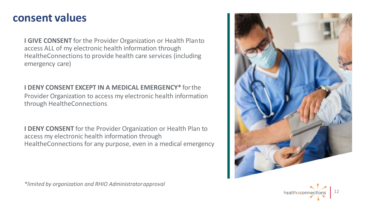## **consent values**

**I GIVE CONSENT** for the Provider Organization or Health Planto access ALL of my electronic health information through HealtheConnections to provide health care services (including emergency care)

#### **I DENY CONSENT EXCEPT IN A MEDICAL EMERGENCY\*** forthe

Provider Organization to access my electronic health information through HealtheConnections

**I DENY CONSENT** for the Provider Organization or Health Plan to access my electronic health information through HealtheConnections for any purpose, even in a medical emergency





*\*limited by organization and RHIO Administratorapproval*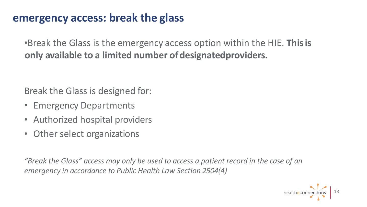# **emergency access: break the glass**

•Break the Glass is the emergency access option within the HIE. **Thisis only available to a limited number ofdesignatedproviders.**

Break the Glass is designed for:

- Emergency Departments
- Authorized hospital providers
- Other select organizations

*"Break the Glass" access may only be used to access a patient record in the case of an emergency in accordance to Public Health Law Section 2504(4)*

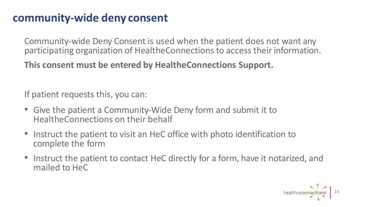# **community-wide deny consent**

Community‐wide Deny Consent is used when the patient does not want any participating organization of HealtheConnections to access their information.

## **This consent must be entered by HealtheConnections Support.**

If patient requests this, you can:

- Give the patient a Community‐Wide Deny form and submit it to HealtheConnections on their behalf
- Instruct the patient to visit an HeC office with photo identification to complete the form
- Instruct the patient to contact HeC directly for a form, have it notarized, and mailed to HeC

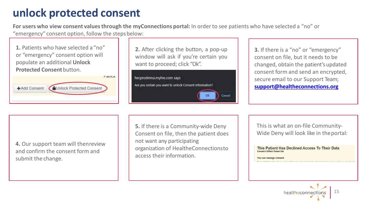# **unlock protected consent**

**For users who view consent valuesthrough the myConnections portal:** In orderto see patients who have selected a "no" or "emergency" consent option, follow the stepsbelow:

**1.** Patients who have selected a "no" or "emergency" consent option will populate an additional **Unlock Protected Consent** button.



**2.** After clicking the button, a pop‐up window will ask if you're certain you want to proceed; click "Ok".



**3.** If there is a "no" or "emergency" consent on file, but it needs to be changed, obtain the patient'supdated consent form and send an encrypted, secure email to our Support Team; **[support@healtheconnections.org](mailto:support@healtheconnections.org)**

**4.** Our support team will thenreview and confirm the consent form and submit the change.

**5.** If there is a Community‐wide Deny Consent on file, then the patient does not want any participating organization of HealtheConnectionsto access their information.

This is what an on-file Community-Wide Deny will look like in the portal:

This Patient Has Declined Access To Their Data Consent In Effect: Patient Site

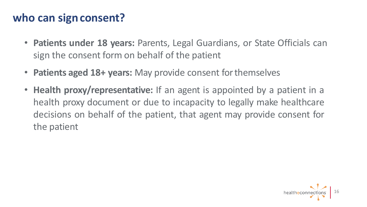# **who can signconsent?**

- **Patients under 18 years:** Parents, Legal Guardians, or State Officials can sign the consent form on behalf of the patient
- **Patients aged 18+ years:** May provide consent forthemselves
- **Health proxy/representative:** If an agent is appointed by a patient in a health proxy document or due to incapacity to legally make healthcare decisions on behalf of the patient, that agent may provide consent for the patient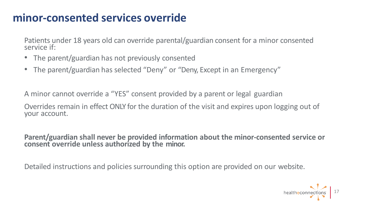# **minor-consented services override**

Patients under 18 years old can override parental/guardian consent for a minor consented service if:

- The parent/guardian has not previously consented
- The parent/guardian has selected "Deny" or "Deny, Except in an Emergency"

A minor cannot override a "YES" consent provided by a parent or legal guardian

Overrides remain in effect ONLY for the duration of the visit and expires upon logging out of your account.

**Parent/guardian shall never be provided information about the minor-consented service or consent override unless authorized by the minor.**

Detailed instructions and policies surrounding this option are provided on our website.

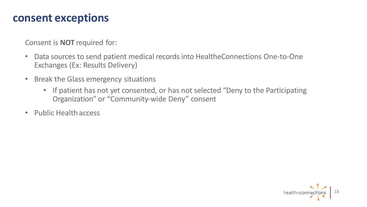## **consent exceptions**

Consent is **NOT** required for:

- Data sources to send patient medical records into HealtheConnections One‐to‐One Exchanges (Ex: Results Delivery)
- Break the Glass emergency situations
	- If patient has not yet consented, or has not selected "Deny to the Participating Organization" or "Community‐wide Deny" consent
- Public Health access

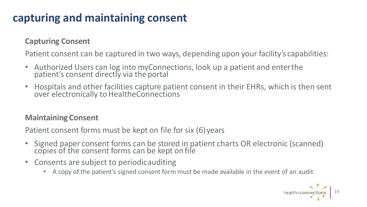# **capturing and maintaining consent**

## **Capturing Consent**

Patient consent can be captured in two ways, depending upon your facility's capabilities:

- Authorized Users can log into myConnections, look up a patient and enterthe patient's consent directly via the portal
- Hospitals and other facilities capture patient consent in their EHRs, which is then sent over electronically to HealtheConnections

## **Maintaining Consent**

Patient consent forms must be kept on file for six (6) years

- Signed paper consent forms can be stored in patient charts OR electronic (scanned) copies of the consent forms can be kept onfile
- Consents are subject to periodicauditing
	- A copy of the patient's signed consent form must be made available in the event of an audit

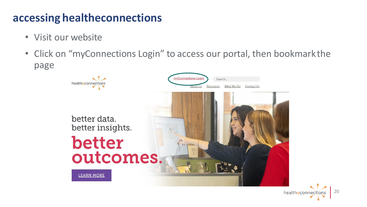# **accessing healtheconnections**

- Visit our website
- Click on "myConnections Login" to access our portal, then bookmark the page

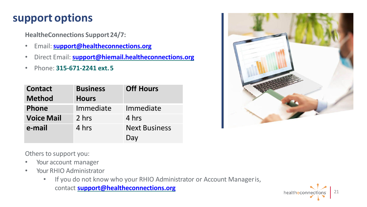# **support options**

**HealtheConnections Support24/7:**

- Email:**[support@healtheconnections.org](mailto:support@healtheconnections.org)**
- Direct Email: **[support@hiemail.healtheconnections.org](mailto:support@hiemail.healtheconnections.org)**
- Phone: **315-671-2241 ext.5**

| <b>Contact</b>    | <b>Business</b> | <b>Off Hours</b>     |
|-------------------|-----------------|----------------------|
| <b>Method</b>     | <b>Hours</b>    |                      |
| <b>Phone</b>      | Immediate       | Immediate            |
| <b>Voice Mail</b> | 2 hrs           | 4 hrs                |
| e-mail            | 4 hrs           | <b>Next Business</b> |
|                   |                 | Day                  |



Others to support you:

- Your account manager
- Your RHIO Administrator
	- If you do not know who your RHIO Administrator or Account Manageris, contact **[support@healtheconnections.org](mailto:support@healtheconnections.org)**

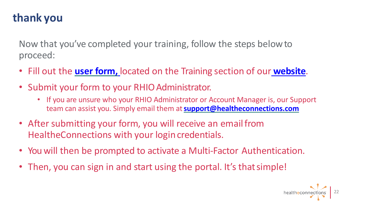# **thank you**

Now that you've completed your training, follow the steps belowto proceed:

- Fill out the **[user form,](https://hec2021.flywheelsites.com/wp-content/uploads/2021/09/Authorized-User-Certification-and-Application_09_10_2021.pdf)** located on the Training section of our **[website](https://www.healtheconnections.org/)**.
- Submit your form to your RHIO Administrator.
	- If you are unsure who your RHIO Administrator or Account Manager is, our Support team can assist you. Simply email them at**[support@healtheconnections.com](mailto:support@healtheconnections.org)**
- After submitting your form, you will receive an email from HealtheConnections with your login credentials.
- You will then be prompted to activate a Multi-Factor Authentication.
- Then, you can sign in and start using the portal. It's that simple!